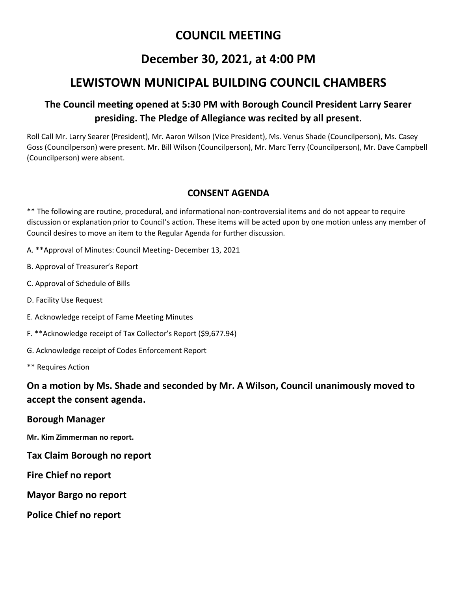## **COUNCIL MEETING**

## **December 30, 2021, at 4:00 PM**

# **LEWISTOWN MUNICIPAL BUILDING COUNCIL CHAMBERS**

### **The Council meeting opened at 5:30 PM with Borough Council President Larry Searer presiding. The Pledge of Allegiance was recited by all present.**

Roll Call Mr. Larry Searer (President), Mr. Aaron Wilson (Vice President), Ms. Venus Shade (Councilperson), Ms. Casey Goss (Councilperson) were present. Mr. Bill Wilson (Councilperson), Mr. Marc Terry (Councilperson), Mr. Dave Campbell (Councilperson) were absent.

#### **CONSENT AGENDA**

\*\* The following are routine, procedural, and informational non-controversial items and do not appear to require discussion or explanation prior to Council's action. These items will be acted upon by one motion unless any member of Council desires to move an item to the Regular Agenda for further discussion.

- A. \*\*Approval of Minutes: Council Meeting- December 13, 2021
- B. Approval of Treasurer's Report
- C. Approval of Schedule of Bills
- D. Facility Use Request
- E. Acknowledge receipt of Fame Meeting Minutes
- F. \*\*Acknowledge receipt of Tax Collector's Report (\$9,677.94)
- G. Acknowledge receipt of Codes Enforcement Report
- \*\* Requires Action

### **On a motion by Ms. Shade and seconded by Mr. A Wilson, Council unanimously moved to accept the consent agenda.**

#### **Borough Manager**

**Mr. Kim Zimmerman no report.** 

- **Tax Claim Borough no report**
- **Fire Chief no report**
- **Mayor Bargo no report**
- **Police Chief no report**